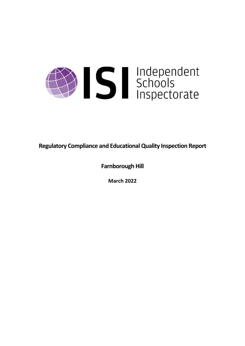

**Regulatory Compliance and EducationalQuality Inspection Report**

**Farnborough Hill**

**March 2022**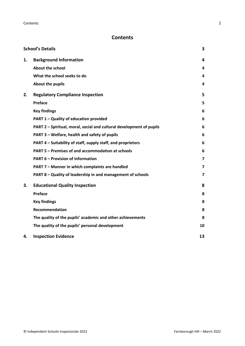# **Contents**

|    | <b>School's Details</b>                                              | 3                       |
|----|----------------------------------------------------------------------|-------------------------|
| 1. | <b>Background Information</b>                                        | 4                       |
|    | <b>About the school</b>                                              | 4                       |
|    | What the school seeks to do                                          | 4                       |
|    | About the pupils                                                     | 4                       |
| 2. | <b>Regulatory Compliance Inspection</b>                              | 5                       |
|    | Preface                                                              | 5                       |
|    | <b>Key findings</b>                                                  | 6                       |
|    | PART 1 - Quality of education provided                               | 6                       |
|    | PART 2 - Spiritual, moral, social and cultural development of pupils | 6                       |
|    | PART 3 - Welfare, health and safety of pupils                        | 6                       |
|    | PART 4 – Suitability of staff, supply staff, and proprietors         | 6                       |
|    | PART 5 - Premises of and accommodation at schools                    | 6                       |
|    | <b>PART 6 - Provision of information</b>                             | $\overline{\mathbf{z}}$ |
|    | PART 7 - Manner in which complaints are handled                      | $\overline{\mathbf{z}}$ |
|    | PART 8 - Quality of leadership in and management of schools          | $\overline{\mathbf{z}}$ |
| 3. | <b>Educational Quality Inspection</b>                                | 8                       |
|    | Preface                                                              | 8                       |
|    | <b>Key findings</b>                                                  | 8                       |
|    | <b>Recommendation</b>                                                | 8                       |
|    | The quality of the pupils' academic and other achievements           | 8                       |
|    | The quality of the pupils' personal development                      | 10                      |
| 4. | <b>Inspection Evidence</b>                                           | 13                      |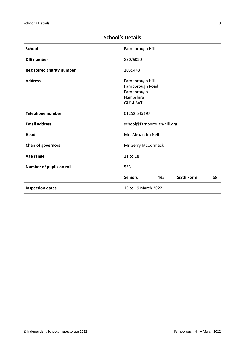| <b>School</b>                    | Farnborough Hill                                                                    |     |                   |    |
|----------------------------------|-------------------------------------------------------------------------------------|-----|-------------------|----|
| <b>DfE</b> number                | 850/6020                                                                            |     |                   |    |
| <b>Registered charity number</b> | 1039443                                                                             |     |                   |    |
| <b>Address</b>                   | Farnborough Hill<br>Farnborough Road<br>Farnborough<br>Hampshire<br><b>GU14 8AT</b> |     |                   |    |
| Telephone number                 | 01252 545197                                                                        |     |                   |    |
| <b>Email address</b>             | school@farnborough-hill.org                                                         |     |                   |    |
| Head                             | Mrs Alexandra Neil                                                                  |     |                   |    |
| <b>Chair of governors</b>        | Mr Gerry McCormack                                                                  |     |                   |    |
| Age range                        | 11 to 18                                                                            |     |                   |    |
| Number of pupils on roll         | 563                                                                                 |     |                   |    |
|                                  | <b>Seniors</b>                                                                      | 495 | <b>Sixth Form</b> | 68 |
| <b>Inspection dates</b>          | 15 to 19 March 2022                                                                 |     |                   |    |

# <span id="page-2-0"></span>**School's Details**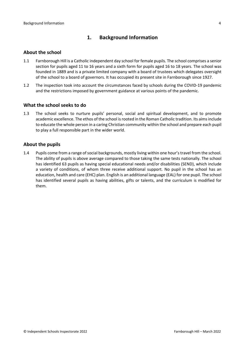# <span id="page-3-0"></span>**1. Background Information**

#### <span id="page-3-1"></span>**About the school**

- 1.1 Farnborough Hill is a Catholic independent day school for female pupils. The school comprises a senior section for pupils aged 11 to 16 years and a sixth form for pupils aged 16 to 18 years. The school was founded in 1889 and is a private limited company with a board of trustees which delegates oversight of the school to a board of governors. It has occupied its present site in Farnborough since 1927.
- 1.2 The inspection took into account the circumstances faced by schools during the COVID-19 pandemic and the restrictions imposed by government guidance at various points of the pandemic.

#### <span id="page-3-2"></span>**What the school seeks to do**

1.3 The school seeks to nurture pupils' personal, social and spiritual development, and to promote academic excellence. The ethos of the school is rooted in the Roman Catholic tradition. Its aims include to educate the whole person in a caring Christian community within the school and prepare each pupil to play a full responsible part in the wider world.

#### <span id="page-3-3"></span>**About the pupils**

1.4 Pupils come from a range of social backgrounds, mostly living within one hour's travel from the school. The ability of pupils is above average compared to those taking the same tests nationally. The school has identified 63 pupils as having special educational needs and/or disabilities (SEND), which include a variety of conditions, of whom three receive additional support. No pupil in the school has an education, health and care (EHC) plan. English is an additional language (EAL) for one pupil. The school has identified several pupils as having abilities, gifts or talents, and the curriculum is modified for them.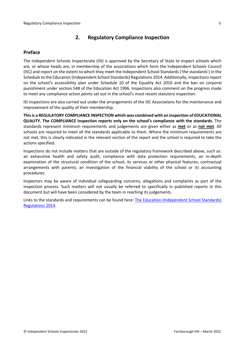# <span id="page-4-0"></span>**2. Regulatory Compliance Inspection**

## <span id="page-4-1"></span>**Preface**

The Independent Schools Inspectorate (ISI) is approved by the Secretary of State to inspect schools which are, or whose heads are, in membership of the associations which form the Independent Schools Council (ISC) and report on the extent to which they meet the Independent School Standards ('the standards') in the Schedule to the Education (Independent School Standards) Regulations 2014. Additionally, inspectionsreport on the school's accessibility plan under Schedule 10 of the Equality Act 2010 and the ban on corporal punishment under section 548 of the Education Act 1996. Inspections also comment on the progress made to meet any compliance action points set out in the school's most recent statutory inspection.

ISI inspections are also carried out under the arrangements of the ISC Associations for the maintenance and improvement of the quality of their membership.

**Thisis a REGULATORY COMPLIANCE INSPECTION which was combined with an inspection of EDUCATIONAL QUALITY. The COMPLIANCE inspection reports only on the school's compliance with the standards.** The standards represent minimum requirements and judgements are given either as **met** or as **not met**. All schools are required to meet all the standards applicable to them. Where the minimum requirements are not met, this is clearly indicated in the relevant section of the report and the school is required to take the actions specified.

Inspections do not include matters that are outside of the regulatory framework described above, such as: an exhaustive health and safety audit; compliance with data protection requirements; an in-depth examination of the structural condition of the school, its services or other physical features; contractual arrangements with parents; an investigation of the financial viability of the school or its accounting procedures.

Inspectors may be aware of individual safeguarding concerns, allegations and complaints as part of the inspection process. Such matters will not usually be referred to specifically in published reports in this document but will have been considered by the team in reaching its judgements.

Links to the standards and requirements can be found here: The Education [\(Independent](http://www.legislation.gov.uk/uksi/2014/3283/contents/made) School Standards) [Regulations](http://www.legislation.gov.uk/uksi/2014/3283/contents/made) 2014.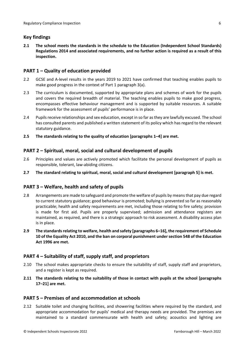# <span id="page-5-0"></span>**Key findings**

**2.1 The school meets the standards in the schedule to the Education (Independent School Standards) Regulations 2014 and associated requirements, and no further action is required as a result of this inspection.**

## <span id="page-5-1"></span>**PART 1 – Quality of education provided**

- 2.2 GCSE and A-level results in the years 2019 to 2021 have confirmed that teaching enables pupils to make good progress in the context of Part 1 paragraph 3(a).
- 2.3 The curriculum is documented, supported by appropriate plans and schemes of work for the pupils and covers the required breadth of material. The teaching enables pupils to make good progress, encompasses effective behaviour management and is supported by suitable resources. A suitable framework for the assessment of pupils' performance is in place.
- 2.4 Pupils receive relationships and sex education, except in so far as they are lawfully excused. The school has consulted parents and published a written statement of its policy which has regard to the relevant statutory guidance.
- **2.5 The standards relating to the quality of education [paragraphs 1–4] are met.**

# <span id="page-5-2"></span>**PART 2 – Spiritual, moral, social and cultural development of pupils**

- 2.6 Principles and values are actively promoted which facilitate the personal development of pupils as responsible, tolerant, law-abiding citizens.
- **2.7 The standard relating to spiritual, moral, social and cultural development [paragraph 5] is met.**

### <span id="page-5-3"></span>**PART 3 – Welfare, health and safety of pupils**

- 2.8 Arrangements are made to safeguard and promote the welfare of pupils by means that pay due regard to current statutory guidance; good behaviour is promoted; bullying is prevented so far as reasonably practicable; health and safety requirements are met, including those relating to fire safety; provision is made for first aid. Pupils are properly supervised; admission and attendance registers are maintained, as required, and there is a strategic approach to risk assessment. A disability access plan is in place.
- **2.9 The standardsrelating to welfare, health and safety [paragraphs 6–16], the requirement of Schedule 10 of the Equality Act 2010, and the ban on corporal punishment undersection 548 of the Education Act 1996 are met.**

### <span id="page-5-4"></span>**PART 4 – Suitability of staff, supply staff, and proprietors**

- 2.10 The school makes appropriate checks to ensure the suitability of staff, supply staff and proprietors, and a register is kept as required.
- **2.11 The standards relating to the suitability of those in contact with pupils at the school [paragraphs 17–21] are met.**

### <span id="page-5-5"></span>**PART 5 – Premises of and accommodation at schools**

2.12 Suitable toilet and changing facilities, and showering facilities where required by the standard, and appropriate accommodation for pupils' medical and therapy needs are provided. The premises are maintained to a standard commensurate with health and safety; acoustics and lighting are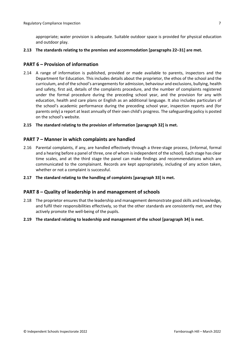appropriate; water provision is adequate. Suitable outdoor space is provided for physical education and outdoor play.

**2.13 The standards relating to the premises and accommodation [paragraphs 22–31] are met.**

#### <span id="page-6-0"></span>**PART 6 – Provision of information**

- 2.14 A range of information is published, provided or made available to parents, inspectors and the Department for Education. This includes details about the proprietor, the ethos of the school and the curriculum, and of the school's arrangementsfor admission, behaviour and exclusions, bullying, health and safety, first aid, details of the complaints procedure, and the number of complaints registered under the formal procedure during the preceding school year, and the provision for any with education, health and care plans or English as an additional language. It also includes particulars of the school's academic performance during the preceding school year, inspection reports and (for parents only) a report at least annually of their own child's progress. The safeguarding policy is posted on the school's website.
- **2.15 The standard relating to the provision of information [paragraph 32] is met.**

#### <span id="page-6-1"></span>**PART 7 – Manner in which complaints are handled**

- 2.16 Parental complaints, if any, are handled effectively through a three-stage process, (informal, formal and a hearing before a panel of three, one of whom isindependent of the school). Each stage has clear time scales, and at the third stage the panel can make findings and recommendations which are communicated to the complainant. Records are kept appropriately, including of any action taken, whether or not a complaint is successful.
- **2.17 The standard relating to the handling of complaints [paragraph 33] is met.**

#### <span id="page-6-2"></span>**PART 8 – Quality of leadership in and management of schools**

- 2.18 The proprietor ensures that the leadership and management demonstrate good skills and knowledge, and fulfil their responsibilities effectively, so that the other standards are consistently met, and they actively promote the well-being of the pupils.
- **2.19 The standard relating to leadership and management of the school [paragraph 34] is met.**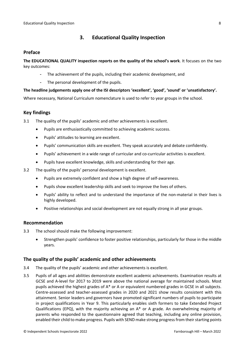# <span id="page-7-0"></span>**3. Educational Quality Inspection**

#### <span id="page-7-1"></span>**Preface**

**The EDUCATIONAL QUALITY inspection reports on the quality of the school's work**. It focuses on the two key outcomes:

- The achievement of the pupils, including their academic development, and
- The personal development of the pupils.

#### **The headline judgements apply one of the ISI descriptors 'excellent', 'good', 'sound' or 'unsatisfactory'.**

Where necessary, National Curriculum nomenclature is used to refer to year groups in the school.

# <span id="page-7-2"></span>**Key findings**

3.1 The quality of the pupils' academic and other achievements is excellent.

- Pupils are enthusiastically committed to achieving academic success.
- Pupils' attitudes to learning are excellent.
- Pupils' communication skills are excellent. They speak accurately and debate confidently.
- Pupils' achievement in a wide range of curricular and co-curricular activities is excellent.
- Pupils have excellent knowledge, skills and understanding for their age.
- 3.2 The quality of the pupils' personal development is excellent.
	- Pupils are extremely confident and show a high degree of self-awareness.
	- Pupils show excellent leadership skills and seek to improve the lives of others.
	- Pupils' ability to reflect and to understand the importance of the non-material in their lives is highly developed.
	- Positive relationships and social development are not equally strong in all year groups.

### <span id="page-7-3"></span>**Recommendation**

- 3.3 The school should make the following improvement:
	- Strengthen pupils' confidence to foster positive relationships, particularly for those in the middle years.

### <span id="page-7-4"></span>**The quality of the pupils' academic and other achievements**

- 3.4 The quality of the pupils' academic and other achievements is excellent.
- 3.5 Pupils of all ages and abilities demonstrate excellent academic achievements. Examination results at GCSE and A-level for 2017 to 2019 were above the national average for maintained schools. Most pupils achieved the highest grades of A\* or A or equivalent numbered grades in GCSE in all subjects. Centre-assessed and teacher-assessed grades in 2020 and 2021 show results consistent with this attainment. Senior leaders and governors have promoted significant numbers of pupils to participate in project qualifications in Year 9. This particularly enables sixth formers to take Extended Project Qualifications (EPQ), with the majority achieving an A\* or A grade. An overwhelming majority of parents who responded to the questionnaire agreed that teaching, including any online provision, enabled their child to make progress. Pupils with SEND make strong progress from their starting points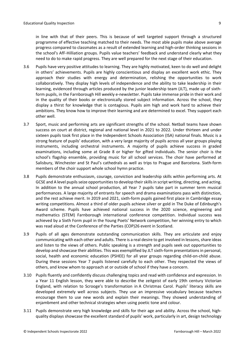in line with that of their peers. This is because of well targeted support through a structured programme of effective teaching matched to their needs. The most able pupils make above average progress compared to classmates as a result of extended learning and high-order thinking sessions in the school's AfF-Hilliation groups. Pupils value teachers' feedback and understand clearly what they need to do to make rapid progress. They are well prepared for the next stage of their education.

- 3.6 Pupils have very positive attitudes to learning. They are highly motivated, keen to do well and delight in others' achievements. Pupils are highly conscientious and display an excellent work ethic. They approach their studies with energy and determination, relishing the opportunities to work collaboratively. They display high levels of independence and the ability to take leadership in their learning, evidenced through articles produced by the junior leadership team (JLT), made up of sixthform pupils, in the Farnborough Hill weekly e-newsletter. Pupils take immense pride in their work and in the quality of their books or electronically stored subject information. Across the school, they display a thirst for knowledge that is contagious. Pupils aim high and work hard to achieve their ambitions. They know how to improve their learning and are determined to excel. They support each other well.
- 3.7 Sport, music and performing arts are significant strengths of the school. Netball teams have shown success on court at district, regional and national level in 2021 to 2022. Under thirteen and under sixteen pupils took first place in the Independent Schools Association (ISA) national finals. Music is a strong feature of pupils' education, with a very large majority of pupils across all year groups playing instruments, including orchestral instruments. A majority of pupils achieve success in graded examinations, including some at Grade 8 or higher for gifted individuals. The senior choir is the school's flagship ensemble, providing music for all school services. The choir have performed at Salisbury, Winchester and St Paul's cathedrals as well as trips to Prague and Barcelona. Sixth-form members of the choir support whole school hymn practice.
- 3.8 Pupils demonstrate enthusiasm, courage, conviction and leadership skills within performing arts. At GCSE and A level pupils seize opportunities to develop their skills in script writing, directing, and acting. In addition to the annual school production, all Year 7 pupils take part in summer term musical performances. A large majority of entrants for speech and drama examinations pass with distinction, and the rest achieve merit. In 2019 and 2021, sixth-form pupils gained first place in Cambridge essay writing competitions. Almost a third of older pupils achieve silver or gold in The Duke of Edinburgh's Award scheme. Pupils have achieved national success in the 2020 science, engineering and mathematics (STEM) Farnborough international conference competition. Individual success was achieved by a Sixth Form pupil in the Young Poets' Network competition, her winning entry to which was read aloud at the Conference of the Parties (COP)26 event in Scotland.
- 3.9 Pupils of all ages demonstrate outstanding communication skills. They are articulate and enjoy communicating with each other and adults. There is a real desire to get involved in lessons, share ideas and listen to the views of others. Public speaking is a strength and pupils seek out opportunities to develop and showcase their abilities. This was exemplified by JLT sixth-form presentations in personal, social, health and economic education (PSHEE) for all year groups regarding child-on-child abuse. During these sessions Year 7 pupils listened carefully to each other. They respected the views of others, and know whom to approach at or outside of school if they have a concern.
- 3.10 Pupils fluently and confidently discuss challenging topics and read with confidence and expression. In a Year 11 English lesson, they were able to describe the zeitgeist of early 19th century Victorian England, with relation to Scrooge's transformation in A Christmas Carol. Pupils' literacy skills are developed extremely well across subjects. They use an impressive vocabulary because teachers encourage them to use new words and explain their meanings. They showed understanding of enjambment and other technical strategies when using poetic tone and colour.
- 3.11 Pupils demonstrate very high knowledge and skills for their age and ability. Across the school, highquality displays showcase the excellent standard of pupils' work, particularly in art, design technology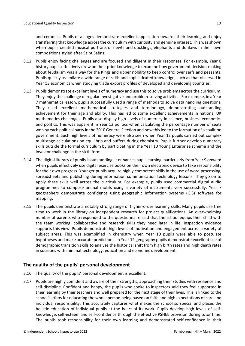and ceramics. Pupils of all ages demonstrate excellent application towards their learning and enjoy transferring that knowledge across the curriculum with curiosity and genuine interest. This was shown when pupils created musical portraits of newts and ducklings, elephants and donkeys in their own compositions styled after Saint Saëns.

- 3.12 Pupils enjoy facing challenges and are focused and diligent in their responses. For example, Year 8 history pupils effectively drew on their prior knowledge to examine how government decision-making about feudalism was a way for the Kings and upper nobility to keep control over serfs and peasants. Pupils quickly assimilate a wide range of skills and sophisticated knowledge, such as that observed in Year 13 economics when studying trade export profiles of developed and developing countries.
- 3.13 Pupils demonstrate excellent levels of numeracy and use this to solve problems across the curriculum. They enjoy the challenge of regular investigative and problem-solving activities. For example, in a Year 7 mathematics lesson, pupils successfully used a range of methods to solve data handling questions. They used excellent mathematical strategies and terminology, demonstrating outstanding achievement for their age and ability. This has led to some excellent achievements in national UK mathematics challenges. Pupils also display high levels of numeracy in science, business economics and politics. This was apparent in Year 12 politics when calculating the percentage number of seats won by each political party in the 2010 General Election and how thisled to the formation of a coalition government. Such high levels of numeracy were also seen when Year 12 pupils carried out complex multistage calculations on equilibria and buffers during chemistry. Pupils further develop numeracy skills outside the formal curriculum by participating in the Year 10 Young Enterprise scheme and the investor challenge in the sixth form.
- 3.14 The digital literacy of pupils is outstanding. It enhances pupil learning, particularly from Year 9 onward when pupils effectively use digital exercise books on their own electronic device to take responsibility for their own progress. Younger pupils acquire highly competent skills in the use of word processing, spreadsheets and publishing during information communication technology lessons. They go on to apply these skills well across the curriculum. For example, pupils used commercial digital audio programmes to compose animal motifs using a variety of instruments very successfully. Year 7 geographers demonstrate confidence using geographic information systems (GIS) software for mapping.
- 3.15 The pupils demonstrate a notably strong range of higher-order learning skills. Many pupils use free time to work in the library on independent research for project qualifications. An overwhelming number of parents who responded to the questionnaire said that the school equips their child with the team working, collaborative and research skills they need later in life. Inspection evidence supports this view. Pupils demonstrate high levels of motivation and engagement across a variety of subject areas. This was exemplified in chemistry when Year 10 pupils were able to postulate hypotheses and make accurate predictions. In Year 12 geography pupils demonstrate excellent use of demographic transition skills to analyse the historical shift from high birth rates and high death rates in societies with minimal technology, education and economic development.

# <span id="page-9-0"></span>**The quality of the pupils' personal development**

- 3.16 The quality of the pupils' personal development is excellent.
- 3.17 Pupils are highly confident and aware of their strengths, approaching their studies with resilience and self-discipline. Confident and happy, the pupils who spoke to inspectors said they feel supported in their learning by their teachers and well prepared for the next stage of their lives. This is linked to the school's ethos for educating the whole person being based on faith and high expectations of care and individual responsibility. This accurately captures what makes the school so special and places the holistic education of individual pupils at the heart of its work. Pupils develop high levels of selfknowledge, self-esteem and self-confidence through the effective PSHEE provision during tutor time. The pupils took responsibility for their own learning and demonstrated self-confidence in their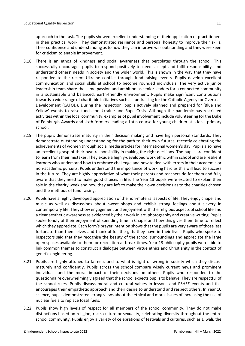approach to the task. The pupils showed excellent understanding of their application of practitioners in their practical work. They demonstrated resilience and personal honesty to improve their skills. Their confidence and understanding as to how they can improve was outstanding and they were keen for criticism to enable improvement.

- 3.18 There is an ethos of kindness and social awareness that percolates through the school. This successfully encourages pupils to respond positively to need, accept and fulfil responsibility, and understand others' needs in society and the wider world. This is shown in the way that they have responded to the recent Ukraine conflict through fund raising events. Pupils develop excellent communication and social skills at school to become rounded individuals. The very active junior leadership team share the same passion and ambition as senior leaders for a connected community in a sustainable and balanced, earth-friendly environment. Pupils make significant contributions towards a wide range of charitable initiatives such as fundraising for the Catholic Agency for Overseas Development (CAFOD). During the inspection, pupils actively planned and prepared for 'Blue and Yellow' events to raise funds for Ukraine and Rape Crisis. Although the pandemic has restricted activities within the local community, examples of pupil involvement include volunteering forthe Duke of Edinburgh Awards and sixth formers leading a Latin course for young children at a local primary school.
- 3.19 The pupils demonstrate maturity in their decision making and have high personal standards. They demonstrate outstanding understanding for the path to their own futures, recently celebrating the achievements of women through social media articles for international women's day. Pupils also have an excellent grasp of their own responsibility in making the right decisions. The pupils are confident to learn from their mistakes. They exude a highly-developed work ethic within school and are resilient learners who understand how to embrace challenge and how to deal with errors in their academic or non-academic pursuits. Pupils understand the importance of working hard as this will lead to success in the future. They are highly appreciative of what their parents and teachers do for them and fully aware that they need to make good choices in life. The Year 13 pupils were excited to explain their role in the charity week and how they are left to make their own decisions as to the charities chosen and the methods of fund raising.
- 3.20 Pupils have a highly developed appreciation of the non-material aspects of life. They enjoy chapel and music as well as discussions about sweat shops and exhibit strong feelings about slavery in contemporary life. They show engagement and enjoyment with the religious aspects ofschool life and a clear aesthetic awareness as evidenced by their work in art, photography and creative writing. Pupils spoke fondly of their enjoyment of spending time in Chapel and how this gives them time to reflect which they appreciate. Each form's prayer intention showsthat the pupils are very aware of those less fortunate than themselves and thankful for the gifts they have in their lives. Pupils who spoke to inspectors said that they recognise the beauty of the school surroundings and appreciate the large open spaces available to them for recreation at break times. Year 13 philosophy pupils were able to link common themes to construct a dialogue between virtue ethics and Christianity in the context of genetic engineering.
- 3.21 Pupils are highly attuned to fairness and to what is right or wrong in society which they discuss maturely and confidently. Pupils across the school compare wisely current news and prominent individuals and the moral impact of their decisions on others. Pupils who responded to the questionnaire overwhelmingly agreed that the school expects pupils to behave. They are respectful of the school rules. Pupils discuss moral and cultural values in lessons and PSHEE events and this encourages their empathetic approach and their desire to understand and respect others. In Year 10 science, pupils demonstrated strong views about the ethical and moral issues of increasing the use of nuclear fuels to replace fossil fuels.
- 3.22 Pupils show high levels of respect for all members of the school community. They do not make distinctions based on religion, race, culture or sexuality, celebrating diversity throughout the entire school community. Pupils enjoy a variety of celebrations of festivals and cultures, such as Diwali, the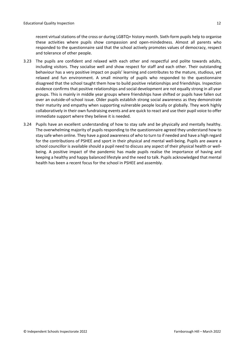recent virtual stations of the cross or during LGBTQ+ history month. Sixth-form pupils help to organise these activities where pupils show compassion and open-mindedness. Almost all parents who responded to the questionnaire said that the school actively promotes values of democracy, respect and tolerance of other people.

- 3.23 The pupils are confident and relaxed with each other and respectful and polite towards adults, including visitors. They socialise well and show respect for staff and each other. Their outstanding behaviour has a very positive impact on pupils' learning and contributes to the mature, studious, yet relaxed and fun environment. A small minority of pupils who responded to the questionnaire disagreed that the school taught them how to build positive relationships and friendships. Inspection evidence confirms that positive relationships and social development are not equally strong in all year groups. This is mainly in middle year groups where friendships have shifted or pupils have fallen out over an outside-of-school issue. Older pupils establish strong social awareness as they demonstrate their maturity and empathy when supporting vulnerable people locally or globally. They work highly collaboratively in their own fundraising events and are quick to react and use their pupil voice to offer immediate support where they believe it is needed.
- 3.24 Pupils have an excellent understanding of how to stay safe and be physically and mentally healthy. The overwhelming majority of pupils responding to the questionnaire agreed they understand how to stay safe when online. They have a good awareness of who to turn to if needed and have a high regard for the contributions of PSHEE and sport in their physical and mental well-being. Pupils are aware a school councillor is available should a pupil need to discuss any aspect of their physical health or wellbeing. A positive impact of the pandemic has made pupils realise the importance of having and keeping a healthy and happy balanced lifestyle and the need to talk. Pupils acknowledged that mental health has been a recent focus for the school in PSHEE and assembly.